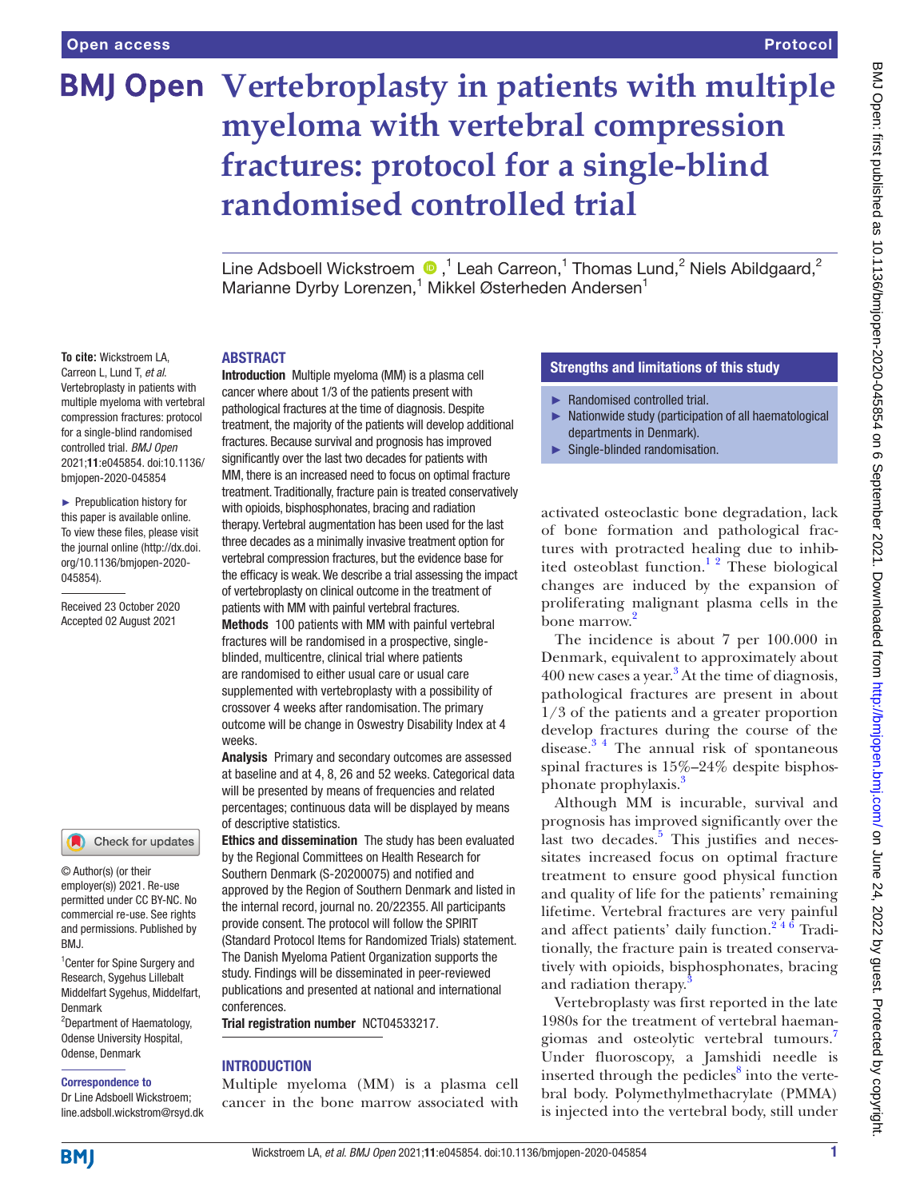# **BMJ Open Vertebroplasty in patients with multiple myeloma with vertebral compression fractures: protocol for a single-blind randomised controlled trial**

Line Adsboell Wickstroem  $\bigcirc$ ,<sup>1</sup> Leah Carreon,<sup>1</sup> Thomas Lund,<sup>2</sup> Niels Abildgaard,<sup>2</sup> Marianne Dyrby Lorenzen,<sup>1</sup> Mikkel Østerheden Andersen<sup>1</sup>

#### ABSTRACT

**To cite:** Wickstroem LA, Carreon L, Lund T, *et al*. Vertebroplasty in patients with multiple myeloma with vertebral compression fractures: protocol for a single-blind randomised controlled trial. *BMJ Open* 2021;11:e045854. doi:10.1136/ bmjopen-2020-045854

► Prepublication history for this paper is available online. To view these files, please visit the journal online [\(http://dx.doi.](http://dx.doi.org/10.1136/bmjopen-2020-045854) [org/10.1136/bmjopen-2020-](http://dx.doi.org/10.1136/bmjopen-2020-045854) [045854\)](http://dx.doi.org/10.1136/bmjopen-2020-045854).

Received 23 October 2020 Accepted 02 August 2021

#### Check for updates

© Author(s) (or their employer(s)) 2021. Re-use permitted under CC BY-NC. No commercial re-use. See rights and permissions. Published by RM<sub>J</sub>

<sup>1</sup> Center for Spine Surgery and Research, Sygehus Lillebalt Middelfart Sygehus, Middelfart, Denmark

2 Department of Haematology, Odense University Hospital, Odense, Denmark

#### Correspondence to

Dr Line Adsboell Wickstroem; line.adsboll.wickstrom@rsyd.dk

Introduction Multiple myeloma (MM) is a plasma cell cancer where about 1/3 of the patients present with pathological fractures at the time of diagnosis. Despite treatment, the majority of the patients will develop additional fractures. Because survival and prognosis has improved significantly over the last two decades for patients with MM, there is an increased need to focus on optimal fracture treatment. Traditionally, fracture pain is treated conservatively with opioids, bisphosphonates, bracing and radiation therapy. Vertebral augmentation has been used for the last three decades as a minimally invasive treatment option for vertebral compression fractures, but the evidence base for the efficacy is weak. We describe a trial assessing the impact of vertebroplasty on clinical outcome in the treatment of patients with MM with painful vertebral fractures. Methods 100 patients with MM with painful vertebral fractures will be randomised in a prospective, singleblinded, multicentre, clinical trial where patients are randomised to either usual care or usual care supplemented with vertebroplasty with a possibility of crossover 4 weeks after randomisation. The primary outcome will be change in Oswestry Disability Index at 4 weeks.

Analysis Primary and secondary outcomes are assessed at baseline and at 4, 8, 26 and 52 weeks. Categorical data will be presented by means of frequencies and related percentages; continuous data will be displayed by means of descriptive statistics.

Ethics and dissemination The study has been evaluated by the Regional Committees on Health Research for Southern Denmark (S-20200075) and notified and approved by the Region of Southern Denmark and listed in the internal record, journal no. 20/22355. All participants provide consent. The protocol will follow the SPIRIT (Standard Protocol Items for Randomized Trials) statement. The Danish Myeloma Patient Organization supports the study. Findings will be disseminated in peer-reviewed publications and presented at national and international conferences.

Trial registration number <NCT04533217>.

#### INTRODUCTION

Multiple myeloma (MM) is a plasma cell cancer in the bone marrow associated with

#### Strengths and limitations of this study

- ► Randomised controlled trial.
- ► Nationwide study (participation of all haematological departments in Denmark).
- ► Single-blinded randomisation.

activated osteoclastic bone degradation, lack of bone formation and pathological fractures with protracted healing due to inhibited osteoblast function.<sup>12</sup> These biological changes are induced by the expansion of proliferating malignant plasma cells in the bone marrow.<sup>[2](#page-4-1)</sup>

The incidence is about 7 per 100.000 in Denmark, equivalent to approximately about 400 new cases a year.<sup>[3](#page-4-2)</sup> At the time of diagnosis, pathological fractures are present in about 1/3 of the patients and a greater proportion develop fractures during the course of the disease.[3 4](#page-4-2) The annual risk of spontaneous spinal fractures is 15%–24% despite bisphos-phonate prophylaxis.<sup>[3](#page-4-2)</sup>

Although MM is incurable, survival and prognosis has improved significantly over the last two decades.<sup>[5](#page-4-3)</sup> This justifies and necessitates increased focus on optimal fracture treatment to ensure good physical function and quality of life for the patients' remaining lifetime. Vertebral fractures are very painful and affect patients' daily function.<sup>246</sup> Traditionally, the fracture pain is treated conservatively with opioids, bisphosphonates, bracing and radiation therapy.<sup>[3](#page-4-2)</sup>

Vertebroplasty was first reported in the late 1980s for the treatment of vertebral haemangiomas and osteolytic vertebral tumours[.7](#page-4-4) Under fluoroscopy, a Jamshidi needle is inserted through the pedicles<sup>[8](#page-4-5)</sup> into the vertebral body. Polymethylmethacrylate (PMMA) is injected into the vertebral body, still under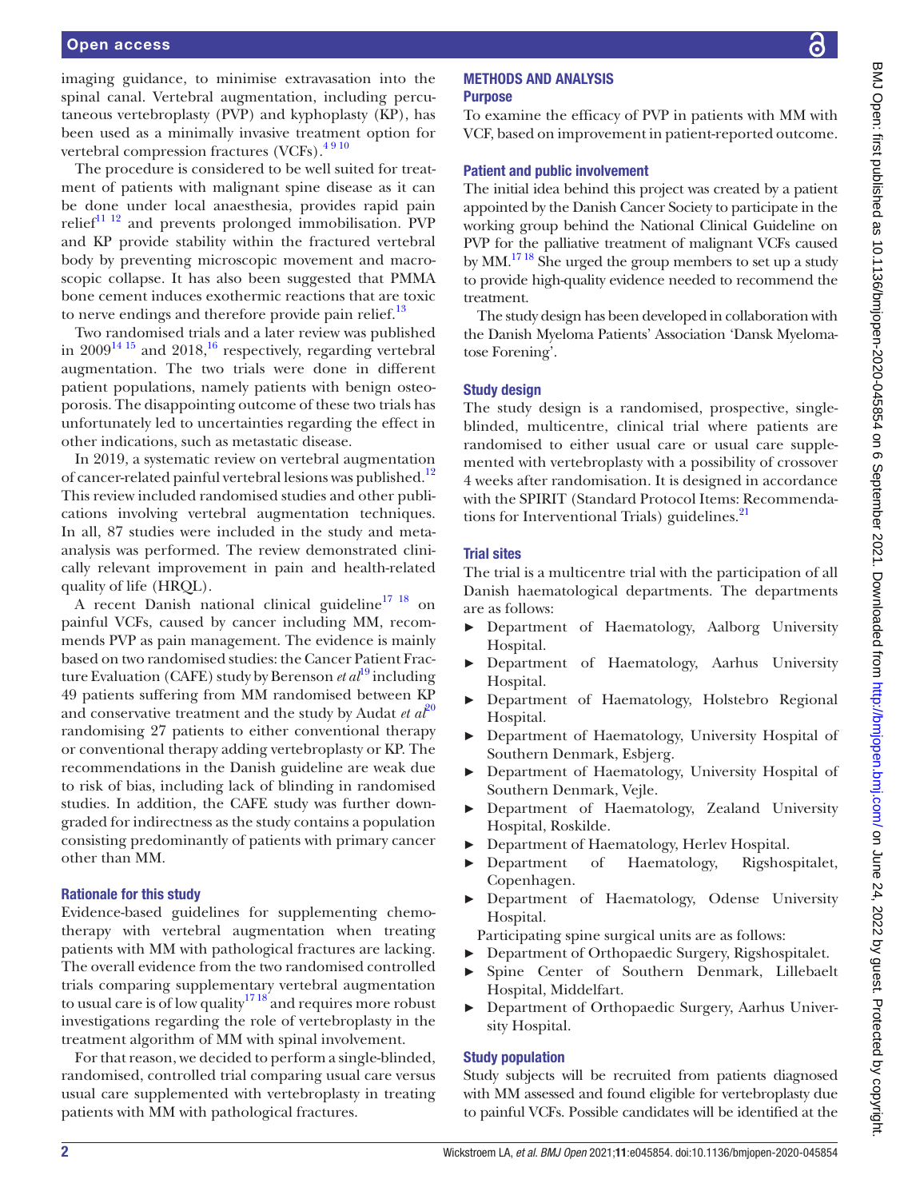imaging guidance, to minimise extravasation into the spinal canal. Vertebral augmentation, including percutaneous vertebroplasty (PVP) and kyphoplasty (KP), has been used as a minimally invasive treatment option for vertebral compression fractures (VCFs).<sup>4910</sup>

The procedure is considered to be well suited for treatment of patients with malignant spine disease as it can be done under local anaesthesia, provides rapid pain relief $11^{11}$  and prevents prolonged immobilisation. PVP and KP provide stability within the fractured vertebral body by preventing microscopic movement and macroscopic collapse. It has also been suggested that PMMA bone cement induces exothermic reactions that are toxic to nerve endings and therefore provide pain relief. $^{13}$  $^{13}$  $^{13}$ 

Two randomised trials and a later review was published in  $2009^{14}$ <sup>15</sup> and  $2018$ <sup>16</sup> respectively, regarding vertebral augmentation. The two trials were done in different patient populations, namely patients with benign osteoporosis. The disappointing outcome of these two trials has unfortunately led to uncertainties regarding the effect in other indications, such as metastatic disease.

In 2019, a systematic review on vertebral augmentation of cancer-related painful vertebral lesions was published.<sup>[12](#page-4-11)</sup> This review included randomised studies and other publications involving vertebral augmentation techniques. In all, 87 studies were included in the study and metaanalysis was performed. The review demonstrated clinically relevant improvement in pain and health-related quality of life (HRQL).

A recent Danish national clinical guideline<sup>17</sup> <sup>18</sup> on painful VCFs, caused by cancer including MM, recommends PVP as pain management. The evidence is mainly based on two randomised studies: the Cancer Patient Fracture Evaluation (CAFE) study by Berenson *et al*<sup>19</sup> including 49 patients suffering from MM randomised between KP and conservative treatment and the study by Audat *et*  $a\ell^{20}$  $a\ell^{20}$  $a\ell^{20}$ randomising 27 patients to either conventional therapy or conventional therapy adding vertebroplasty or KP. The recommendations in the Danish guideline are weak due to risk of bias, including lack of blinding in randomised studies. In addition, the CAFE study was further downgraded for indirectness as the study contains a population consisting predominantly of patients with primary cancer other than MM.

#### Rationale for this study

Evidence-based guidelines for supplementing chemotherapy with vertebral augmentation when treating patients with MM with pathological fractures are lacking. The overall evidence from the two randomised controlled trials comparing supplementary vertebral augmentation to usual care is of low quality<sup>1718</sup> and requires more robust investigations regarding the role of vertebroplasty in the treatment algorithm of MM with spinal involvement.

For that reason, we decided to perform a single-blinded, randomised, controlled trial comparing usual care versus usual care supplemented with vertebroplasty in treating patients with MM with pathological fractures.

## METHODS AND ANALYSIS

#### Purpose

To examine the efficacy of PVP in patients with MM with VCF, based on improvement in patient-reported outcome.

#### Patient and public involvement

The initial idea behind this project was created by a patient appointed by the Danish Cancer Society to participate in the working group behind the National Clinical Guideline on PVP for the palliative treatment of malignant VCFs caused by MM.<sup>17 18</sup> She urged the group members to set up a study to provide high-quality evidence needed to recommend the treatment.

The study design has been developed in collaboration with the Danish Myeloma Patients' Association 'Dansk Myelomatose Forening'.

### Study design

The study design is a randomised, prospective, singleblinded, multicentre, clinical trial where patients are randomised to either usual care or usual care supplemented with vertebroplasty with a possibility of crossover 4 weeks after randomisation. It is designed in accordance with the SPIRIT (Standard Protocol Items: Recommenda-tions for Interventional Trials) guidelines.<sup>[21](#page-4-15)</sup>

## Trial sites

The trial is a multicentre trial with the participation of all Danish haematological departments. The departments are as follows:

- ► Department of Haematology, Aalborg University Hospital.
- ► Department of Haematology, Aarhus University Hospital.
- ► Department of Haematology, Holstebro Regional Hospital.
- ► Department of Haematology, University Hospital of Southern Denmark, Esbjerg.
- ► Department of Haematology, University Hospital of Southern Denmark, Vejle.
- ► Department of Haematology, Zealand University Hospital, Roskilde.
- ► Department of Haematology, Herlev Hospital.
- ► Department of Haematology, Rigshospitalet, Copenhagen.
- ► Department of Haematology, Odense University Hospital.
- Participating spine surgical units are as follows:
- ► Department of Orthopaedic Surgery, Rigshospitalet.
- ► Spine Center of Southern Denmark, Lillebaelt Hospital, Middelfart.
- ► Department of Orthopaedic Surgery, Aarhus University Hospital.

## Study population

Study subjects will be recruited from patients diagnosed with MM assessed and found eligible for vertebroplasty due to painful VCFs. Possible candidates will be identified at the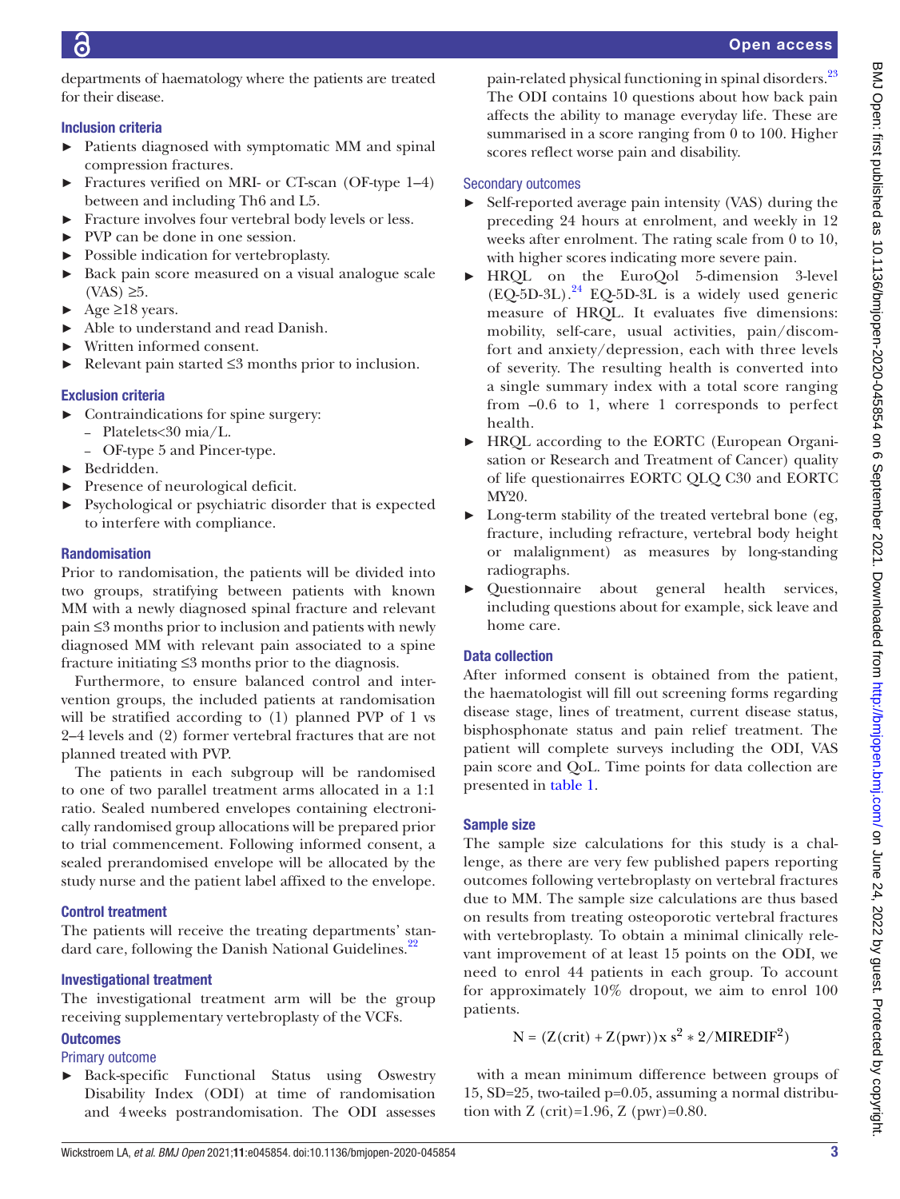departments of haematology where the patients are treated for their disease.

## Inclusion criteria

- ► Patients diagnosed with symptomatic MM and spinal compression fractures.
- ► Fractures verified on MRI- or CT-scan (OF-type 1–4) between and including Th6 and L5.
- ► Fracture involves four vertebral body levels or less.
- ► PVP can be done in one session.
- ► Possible indication for vertebroplasty.
- ► Back pain score measured on a visual analogue scale  $(VAS) \geq 5$ .
- $\blacktriangleright$  Age  $\geq$ 18 years.
- ► Able to understand and read Danish.
- Written informed consent.
- ► Relevant pain started ≤3 months prior to inclusion.

## Exclusion criteria

- ► Contraindications for spine surgery:
	- Platelets<30 mia/L.
	- OF-type 5 and Pincer-type.
- ► Bedridden.
- ► Presence of neurological deficit.
- ► Psychological or psychiatric disorder that is expected to interfere with compliance.

## Randomisation

Prior to randomisation, the patients will be divided into two groups, stratifying between patients with known MM with a newly diagnosed spinal fracture and relevant pain ≤3 months prior to inclusion and patients with newly diagnosed MM with relevant pain associated to a spine fracture initiating ≤3 months prior to the diagnosis.

Furthermore, to ensure balanced control and intervention groups, the included patients at randomisation will be stratified according to (1) planned PVP of 1 vs 2–4 levels and (2) former vertebral fractures that are not planned treated with PVP.

The patients in each subgroup will be randomised to one of two parallel treatment arms allocated in a 1:1 ratio. Sealed numbered envelopes containing electronically randomised group allocations will be prepared prior to trial commencement. Following informed consent, a sealed prerandomised envelope will be allocated by the study nurse and the patient label affixed to the envelope.

## Control treatment

The patients will receive the treating departments' stan-dard care, following the Danish National Guidelines.<sup>[22](#page-4-16)</sup>

## Investigational treatment

The investigational treatment arm will be the group receiving supplementary vertebroplasty of the VCFs.

## **Outcomes**

Primary outcome

► Back-specific Functional Status using Oswestry Disability Index (ODI) at time of randomisation and 4weeks postrandomisation. The ODI assesses

pain-related physical functioning in spinal disorders.<sup>[23](#page-4-17)</sup> The ODI contains 10 questions about how back pain affects the ability to manage everyday life. These are summarised in a score ranging from 0 to 100. Higher scores reflect worse pain and disability.

## Secondary outcomes

- Self-reported average pain intensity (VAS) during the preceding 24 hours at enrolment, and weekly in 12 weeks after enrolment. The rating scale from 0 to 10, with higher scores indicating more severe pain.
- ► HRQL on the EuroQol 5-dimension 3-level  $(EQ-5D-3L).<sup>24</sup>$  EQ-5D-3L is a widely used generic measure of HRQL. It evaluates five dimensions: mobility, self-care, usual activities, pain/discomfort and anxiety/depression, each with three levels of severity. The resulting health is converted into a single summary index with a total score ranging from –0.6 to 1, where 1 corresponds to perfect health.
- ► HRQL according to the EORTC (European Organisation or Research and Treatment of Cancer) quality of life questionairres EORTC QLQ C30 and EORTC MY20.
- Long-term stability of the treated vertebral bone (eg, fracture, including refracture, vertebral body height or malalignment) as measures by long-standing radiographs.
- ► Questionnaire about general health services, including questions about for example, sick leave and home care.

## Data collection

After informed consent is obtained from the patient, the haematologist will fill out screening forms regarding disease stage, lines of treatment, current disease status, bisphosphonate status and pain relief treatment. The patient will complete surveys including the ODI, VAS pain score and QoL. Time points for data collection are presented in [table](#page-3-0) 1.

## Sample size

The sample size calculations for this study is a challenge, as there are very few published papers reporting outcomes following vertebroplasty on vertebral fractures due to MM. The sample size calculations are thus based on results from treating osteoporotic vertebral fractures with vertebroplasty. To obtain a minimal clinically relevant improvement of at least 15 points on the ODI, we need to enrol 44 patients in each group. To account for approximately 10% dropout, we aim to enrol 100 patients.

 $N = (Z(crit) + Z(pwr))x s<sup>2</sup> * 2/MIREDIF<sup>2</sup>)$ 

with a mean minimum difference between groups of 15, SD=25, two-tailed p=0.05, assuming a normal distribution with Z (crit)=1.96, Z (pwr)=0.80.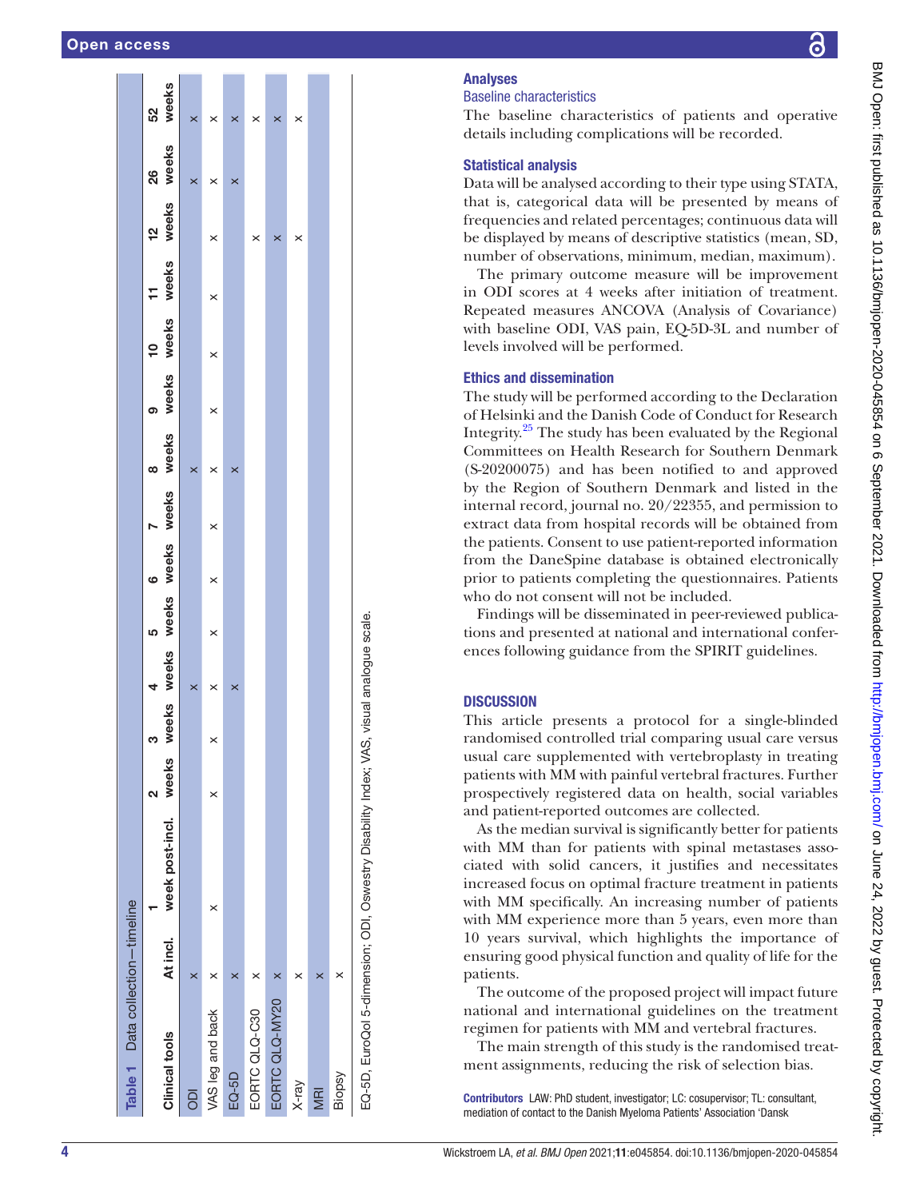| Table 1 Data collection-timeline                                                        |          |                       |   |       |       |   |   |                   |          |       |          |          |           |          |       |
|-----------------------------------------------------------------------------------------|----------|-----------------------|---|-------|-------|---|---|-------------------|----------|-------|----------|----------|-----------|----------|-------|
|                                                                                         |          |                       | ິ | ო     |       | 5 | ဖ |                   | œ        |       | <u>ុ</u> |          | <u>ุค</u> | 8        | 52    |
| <b>Clinical tools</b>                                                                   | At incl. | week post-incl. weeks |   | weeks | weeks |   |   | weeks weeks weeks | weeks    | weeks | weeks    | weeks    | weeks     | weeks    | weeks |
| ā                                                                                       | ×        |                       |   |       | ×     |   |   |                   | $\times$ |       |          |          |           | ×        | ×     |
| VAS leg and back                                                                        |          | ×                     | × | ×     | ×     | × | × | ×                 | ×        | ×     | $\times$ | $\times$ | ×         | ×        | ×     |
| EQ-5D                                                                                   |          |                       |   |       | ×     |   |   |                   | ×        |       |          |          |           | $\times$ | ×     |
| EORTC QLQ-C30                                                                           |          |                       |   |       |       |   |   |                   |          |       |          |          | ×         |          | ×     |
| EORTC QLQ-MY20                                                                          |          |                       |   |       |       |   |   |                   |          |       |          |          | ×         |          | ×     |
| X-ray                                                                                   |          |                       |   |       |       |   |   |                   |          |       |          |          | ×         |          | ×     |
| MRI                                                                                     |          |                       |   |       |       |   |   |                   |          |       |          |          |           |          |       |
| Biopsy                                                                                  | ×        |                       |   |       |       |   |   |                   |          |       |          |          |           |          |       |
| EQ-5D, EuroQol 5-dimension; ODI, Oswestry Disability Index; VAS, visual analogue scale. |          |                       |   |       |       |   |   |                   |          |       |          |          |           |          |       |

## Analyses

## Baseline characteristics

The baseline characteristics of patients and operative details including complications will be recorded.

#### Statistical analysis

Data will be analysed according to their type using STATA, that is, categorical data will be presented by means of frequencies and related percentages; continuous data will be displayed by means of descriptive statistics (mean, SD, number of observations, minimum, median, maximum).

The primary outcome measure will be improvement in ODI scores at 4 weeks after initiation of treatment. Repeated measures ANCOVA (Analysis of Covariance) with baseline ODI, VAS pain, EQ-5D-3L and number of levels involved will be performed.

#### Ethics and dissemination

The study will be performed according to the Declaration of Helsinki and the Danish Code of Conduct for Research Integrity.[25](#page-4-19) The study has been evaluated by the Regional Committees on Health Research for Southern Denmark (S-20200075) and has been notified to and approved by the Region of Southern Denmark and listed in the internal record, journal no. 20/22355, and permission to extract data from hospital records will be obtained from the patients. Consent to use patient-reported information from the DaneSpine database is obtained electronically prior to patients completing the questionnaires. Patients who do not consent will not be included.

Findings will be disseminated in peer-reviewed publications and presented at national and international conferences following guidance from the SPIRIT guidelines.

### **DISCUSSION**

This article presents a protocol for a single-blinded randomised controlled trial comparing usual care versus usual care supplemented with vertebroplasty in treating patients with MM with painful vertebral fractures. Further prospectively registered data on health, social variables and patient-reported outcomes are collected.

As the median survival is significantly better for patients with MM than for patients with spinal metastases associated with solid cancers, it justifies and necessitates increased focus on optimal fracture treatment in patients with MM specifically. An increasing number of patients with MM experience more than 5 years, even more than 10 years survival, which highlights the importance of ensuring good physical function and quality of life for the patients.

The outcome of the proposed project will impact future national and international guidelines on the treatment regimen for patients with MM and vertebral fractures.

The main strength of this study is the randomised treatment assignments, reducing the risk of selection bias.

<span id="page-3-0"></span>Contributors LAW: PhD student, investigator; LC: cosupervisor; TL: consultant, mediation of contact to the Danish Myeloma Patients' Association 'Dansk